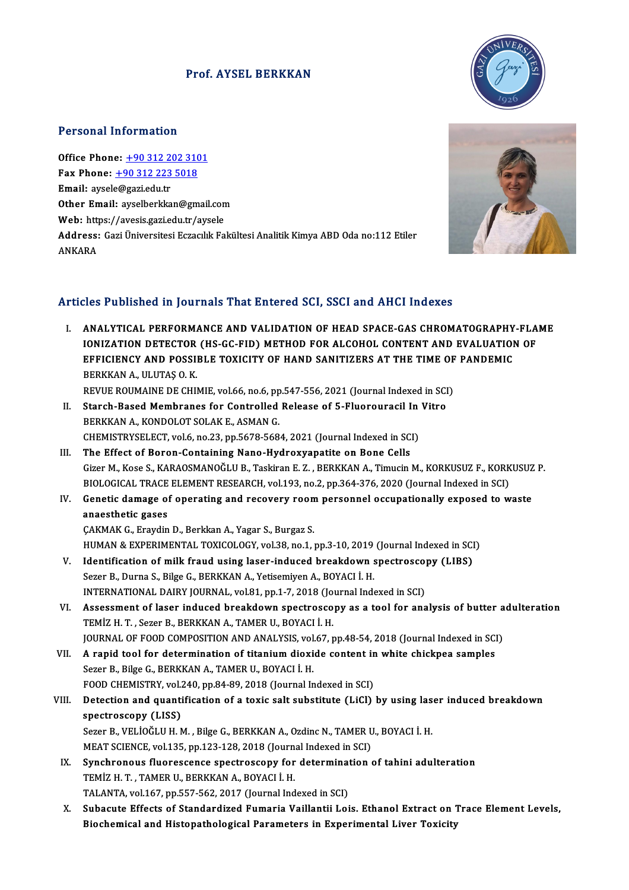### Prof. AYSEL BERKKAN



#### Personal Information

Office Phone: +90 312 202 3101 Tersonal Information<br>Office Phone: <u>+90 312 202 310</u><br>Fax Phone: <u>+90 312 223 5018</u> Office Phone: <u>+90 312 22</u><br>Fax Phone: <u>+90 312 223</u><br>Email: aysel[e@gazi.edu.tr](tel:+90 312 223 5018) Fax Phone: <u>+90 312 223 5018</u><br>Email: aysele@gazi.edu.tr<br>Other Email: [ayselberkkan@gmai](tel:+90 312 202 3101)l.com<br>Web: https://ayesis.gazi.edu.tr/aysele Email: aysele@gazi.edu.tr<br>Other Email: ayselberkkan@gmail.con<br>Web: https://avesis.gazi.edu.tr/aysele<br>Addressy Cari Üniversitesi Essasılık Fa Address: Gazi Üniversitesi Eczacılık Fakültesi Analitik Kimya ABD Oda no:112 Etiler<br>ANKARA Web: https://avesis.gazi.edu.tr/aysele

### Articles Published in Journals That Entered SCI, SSCI and AHCI Indexes

Tticles Published in Journals That Entered SCI, SSCI and AHCI Indexes<br>I. ANALYTICAL PERFORMANCE AND VALIDATION OF HEAD SPACE-GAS CHROMATOGRAPHY-FLAME<br>IONIZATION DETECTOR (US CC EID) METHOD FOR ALCOHOL CONTENT AND EVALUATIO ION TRONGHOUTH JOUTHUM THAT MICHAEL OUT, SOOT AND THIST HIGHON<br>ANALYTICAL PERFORMANCE AND VALIDATION OF HEAD SPACE-GAS CHROMATOGRAPHY-FLA<br>IONIZATION DETECTOR (HS-GC-FID) METHOD FOR ALCOHOL CONTENT AND EVALUATION OF<br>EREICIE ANALYTICAL PERFORMANCE AND VALIDATION OF HEAD SPACE-GAS CHROMATOGRAPHY<br>IONIZATION DETECTOR (HS-GC-FID) METHOD FOR ALCOHOL CONTENT AND EVALUATIOI<br>EFFICIENCY AND POSSIBLE TOXICITY OF HAND SANITIZERS AT THE TIME OF PANDEMIC<br>P IONIZATION DETECTOR (HS-GC-FID) METHOD FOR ALCOHOL CONTENT AND EVALUATION OF EFFICIENCY AND POSSIBLE TOXICITY OF HAND SANITIZERS AT THE TIME OF PANDEMIC BERKKAN A., ULUTAS O. K. REVUE ROUMAINE DE CHIMIE, vol.66, no.6, pp.547-556, 2021 (Journal Indexed in SCI) II. Starch-Based Membranes for Controlled Release of 5-Fluorouracil In Vitro BERKKAN A., KONDOLOT SOLAK E., ASMAN G. Starch-Based Membranes for Controlled Release of 5-Fluorouracil In<br>BERKKAN A., KONDOLOT SOLAK E., ASMAN G.<br>CHEMISTRYSELECT, vol.6, no.23, pp.5678-5684, 2021 (Journal Indexed in SCI)<br>The Effect of Boron Containing Nano Hydr BERKKAN A., KONDOLOT SOLAK E., ASMAN G.<br>CHEMISTRYSELECT, vol.6, no.23, pp.5678-5684, 2021 (Journal Indexed in SC.<br>III. The Effect of Boron-Containing Nano-Hydroxyapatite on Bone Cells<br>Circy M. Kees S. KARAOSMANOČLU B. Tecl CHEMISTRYSELECT, vol.6, no.23, pp.5678-5684, 2021 (Journal Indexed in SCI)<br>The Effect of Boron-Containing Nano-Hydroxyapatite on Bone Cells<br>Gizer M., Kose S., KARAOSMANOĞLU B., Taskiran E. Z. , BERKKAN A., Timucin M., KORK The Effect of Boron-Containing Nano-Hydroxyapatite on Bone Cells<br>Gizer M., Kose S., KARAOSMANOĞLU B., Taskiran E. Z. , BERKKAN A., Timucin M., KORKUSUZ F., KORK<br>BIOLOGICAL TRACE ELEMENT RESEARCH, vol.193, no.2, pp.364-376, Gizer M., Kose S., KARAOSMANOĞLU B., Taskiran E. Z. , BERKKAN A., Timucin M., KORKUSUZ F., KORKUSUZ<br>BIOLOGICAL TRACE ELEMENT RESEARCH, vol.193, no.2, pp.364-376, 2020 (Journal Indexed in SCI)<br>IV. Genetic damage of operatin BIOLOGICAL TRACE ELEMENT RESEARCH, vol.193, no.2, pp.364-376, 2020 (Journal Indexed in SCI)<br>Genetic damage of operating and recovery room personnel occupationally exposed to w<br>anaesthetic gases<br>CAKMAK G., Eraydin D., Berkk IV. Genetic damage of operating and recovery room personnel occupationally exposed to waste HUMAN & EXPERIMENTAL TOXICOLOGY, vol.38, no.1, pp.3-10, 2019 (Journal Indexed in SCI) CAKMAK G., Eraydin D., Berkkan A., Yagar S., Burgaz S.<br>HUMAN & EXPERIMENTAL TOXICOLOGY, vol.38, no.1, pp.3-10, 2019 (Journal Indexed in SCI<br>V. Identification of milk fraud using laser-induced breakdown spectroscopy (LIBS)<br> HUMAN & EXPERIMENTAL TOXICOLOGY, vol.38, no.1, pp.3-10, 2019<br>Identification of milk fraud using laser-induced breakdown s<br>Sezer B., Durna S., Bilge G., BERKKAN A., Yetisemiyen A., BOYACI İ. H.<br>INTERNATIONAL DAIRY JOURNAL, Identification of milk fraud using laser-induced breakdown spectroscop<br>Sezer B., Durna S., Bilge G., BERKKAN A., Yetisemiyen A., BOYACI İ. H.<br>INTERNATIONAL DAIRY JOURNAL, vol.81, pp.1-7, 2018 (Journal Indexed in SCI)<br>Asses Sezer B., Durna S., Bilge G., BERKKAN A., Yetisemiyen A., BOYACI İ. H.<br>INTERNATIONAL DAIRY JOURNAL, vol.81, pp.1-7, 2018 (Journal Indexed in SCI)<br>VI. Assessment of laser induced breakdown spectroscopy as a tool for analysi INTERNATIONAL DAIRY JOURNAL, vol.81, pp.1-7, 2018 (Journal Indexed in SCI) JOURNAL OF FOOD COMPOSITION AND ANALYSIS, vol.67, pp.48-54, 2018 (Journal Indexed in SCI) TEMİZ H. T. , Sezer B., BERKKAN A., TAMER U., BOYACI İ. H.<br>JOURNAL OF FOOD COMPOSITION AND ANALYSIS, vol.67, pp.48-54, 2018 (Journal Indexed in SCI<br>VII. A rapid tool for determination of titanium dioxide content in white c SOURNAL OF FOOD COMPOSITION AND ANALYSIS, vol<br>A rapid tool for determination of titanium dioxi<br>Sezer B., Bilge G., BERKKAN A., TAMER U., BOYACI İ. H.<br>FOOD CHEMISTEV. vol 340, PD 84, 89, 2018 (Journal Ir A rapid tool for determination of titanium dioxide content in<br>Sezer B., Bilge G., BERKKAN A., TAMER U., BOYACI İ. H.<br>FOOD CHEMISTRY, vol.240, pp.84-89, 2018 (Journal Indexed in SCI)<br>Detection and quantification of a toxic Sezer B., Bilge G., BERKKAN A., TAMER U., BOYACI İ. H.<br>FOOD CHEMISTRY, vol.240, pp.84-89, 2018 (Journal Indexed in SCI)<br>VIII. Detection and quantification of a toxic salt substitute (LiCl) by using laser induced breakdown<br> FOOD CHEMISTRY, vol.240, pp.84-89, 2018 (Journal Indexed in SCI)<br>Detection and quantification of a toxic salt substitute (LiCl)<br>spectroscopy (LISS) Detection and quantification of a toxic salt substitute (LiCl) by using las<br>spectroscopy (LISS)<br>Sezer B., VELİOĞLU H. M. , Bilge G., BERKKAN A., Ozdinc N., TAMER U., BOYACI İ. H.<br>MEAT SCIENCE vel 125. ap.122.129.2018 (Jour Sezer B., VELİOĞLU H. M. , Bilge G., BERKKAN A., Ozdinc N., TAMER U., BOYACI İ. H.<br>MEAT SCIENCE, vol.135, pp.123-128, 2018 (Journal Indexed in SCI) Sezer B., VELİOĞLU H. M. , Bilge G., BERKKAN A., Ozdinc N., TAMER U., BOYACI İ. H.<br>MEAT SCIENCE, vol.135, pp.123-128, 2018 (Journal Indexed in SCI)<br>IX. Synchronous fluorescence spectroscopy for determination of tahini adul TEMİZ H. T. , TAMER U., BERKKAN A., BOYACI İ. H.<br>TALANTA, vol.167, pp.557-562, 2017 (Journal Indexed in SCI) Synchronous fluorescence spectroscopy for determinat<br>TEMİZ H. T. , TAMER U., BERKKAN A., BOYACI İ. H.<br>TALANTA, vol.167, pp.557-562, 2017 (Journal Indexed in SCI)<br>Subacute Effects of Standardized Eumaria Vaillantii Lei TEMİZ H. T. , TAMER U., BERKKAN A., BOYACI İ. H.<br>TALANTA, vol.167, pp.557-562, 2017 (Journal Indexed in SCI)<br>X. Subacute Effects of Standardized Fumaria Vaillantii Lois. Ethanol Extract on Trace Element Levels,<br>Piochemical TALANTA, vol.167, pp.557-562, 2017 (Journal Indexed in SCI)<br>Subacute Effects of Standardized Fumaria Vaillantii Lois. Ethanol Extract on 1<br>Biochemical and Histopathological Parameters in Experimental Liver Toxicity

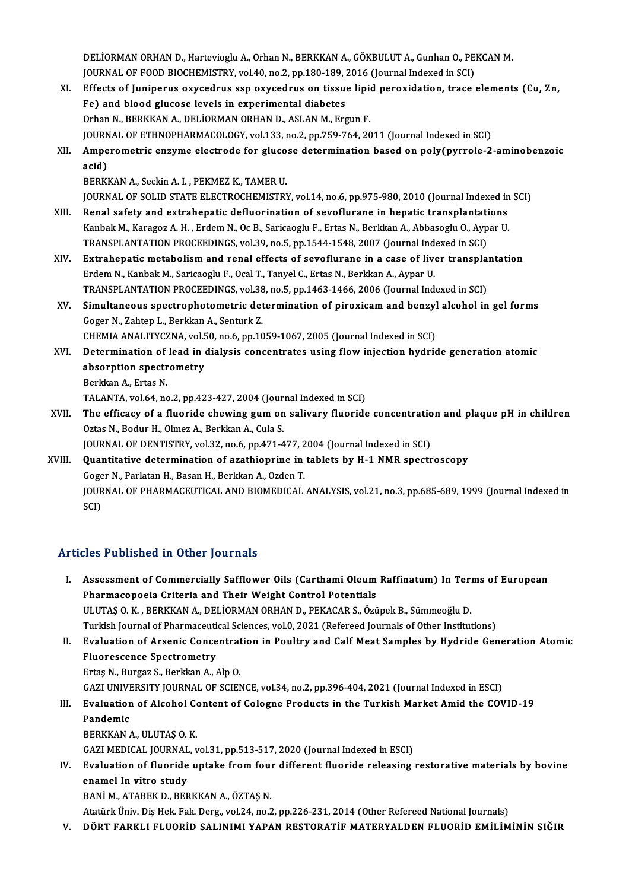DELİORMAN ORHAN D., Hartevioglu A., Orhan N., BERKKAN A., GÖKBULUT A., Gunhan O., PEKCAN M.<br>JOUPMAL OF FOOD BIOCHEMISTRY, vel 40, ps 3, pp 180, 180, 2016 (Journal Indoved in SCI) DELİORMAN ORHAN D., Hartevioglu A., Orhan N., BERKKAN A., GÖKBULUT A., Gunhan O., PE<br>JOURNAL OF FOOD BIOCHEMISTRY, vol.40, no.2, pp.180-189, 2016 (Journal Indexed in SCI)<br>Effects of Juninerus exuced uus sen exused uus en t DELİORMAN ORHAN D., Hartevioglu A., Orhan N., BERKKAN A., GÖKBULUT A., Gunhan O., PEKCAN M.<br>JOURNAL OF FOOD BIOCHEMISTRY, vol.40, no.2, pp.180-189, 2016 (Journal Indexed in SCI)<br>XI. Effects of Juniperus oxycedrus ssp oxyce

JOURNAL OF FOOD BIOCHEMISTRY, vol.40, no.2, pp.180-189, 2016 (Journal Indexed in SCI)<br>XI. Effects of Juniperus oxycedrus ssp oxycedrus on tissue lipid peroxidation, trace elements (Cu, Zn,<br>Fe) and blood glucose levels in e Orhan N., BERKKAN A., DELİORMAN ORHAN D., ASLAN M., Ergun F. JOURNAL OF ETHNOPHARMACOLOGY, vol.133, no.2, pp.759-764, 2011 (Journal Indexed in SCI) Orhan N., BERKKAN A., DELİORMAN ORHAN D., ASLAN M., Ergun F.<br>JOURNAL OF ETHNOPHARMACOLOGY, vol.133, no.2, pp.759-764, 2011 (Journal Indexed in SCI)<br>XII. Amperometric enzyme electrode for glucose determination based on **JOURN<br>Ampe<br>acid)**<br>PEPEU Amperometric enzyme electrode for gluco<br>acid)<br>BERKKAN A., Seckin A. I. , PEKMEZ K., TAMER U.<br>JOUPMAL OF SOLID STATE ELECTROCHEMISTRY acid)<br>BERKKAN A., Seckin A. I. , PEKMEZ K., TAMER U.<br>JOURNAL OF SOLID STATE ELECTROCHEMISTRY, vol.14, no.6, pp.975-980, 2010 (Journal Indexed in SCI)<br>Benal safety and axtrabanatis defluarination of seveflurane in benatis t BERKKAN A., Seckin A. I., PEKMEZ K., TAMER U.<br>JOURNAL OF SOLID STATE ELECTROCHEMISTRY, vol.14, no.6, pp.975-980, 2010 (Journal Indexed in<br>XIII. Renal safety and extrahepatic defluorination of sevoflurane in hepatic transpl JOURNAL OF SOLID STATE ELECTROCHEMISTRY, vol.14, no.6, pp.975-980, 2010 (Journal Indexed in<br>Renal safety and extrahepatic defluorination of sevoflurane in hepatic transplantations<br>Kanbak M., Karagoz A. H. , Erdem N., Oc B. Renal safety and extrahepatic defluorination of sevoflurane in hepatic transplantations<br>Kanbak M., Karagoz A. H. , Erdem N., Oc B., Saricaoglu F., Ertas N., Berkkan A., Abbasoglu O., Aypar U.<br>TRANSPLANTATION PROCEEDINGS, v Kanbak M., Karagoz A. H., Erdem N., Oc B., Saricaoglu F., Ertas N., Berkkan A., Abbasoglu O., Aypar U.<br>TRANSPLANTATION PROCEEDINGS, vol.39, no.5, pp.1544-1548, 2007 (Journal Indexed in SCI)<br>XIV. Extrahepatic metabolism and TRANSPLANTATION PROCEEDINGS, vol.39, no.5, pp.1544-1548, 2007 (Journal Index Extrahepatic metabolism and renal effects of sevoflurane in a case of live<br>Erdem N., Kanbak M., Saricaoglu F., Ocal T., Tanyel C., Ertas N., Berk Extrahepatic metabolism and renal effects of sevoflurane in a case of liver transpla<br>Erdem N., Kanbak M., Saricaoglu F., Ocal T., Tanyel C., Ertas N., Berkkan A., Aypar U.<br>TRANSPLANTATION PROCEEDINGS, vol.38, no.5, pp.1463 Erdem N., Kanbak M., Saricaoglu F., Ocal T., Tanyel C., Ertas N., Berkkan A., Aypar U.<br>TRANSPLANTATION PROCEEDINGS, vol.38, no.5, pp.1463-1466, 2006 (Journal Indexed in SCI)<br>XV. Simultaneous spectrophotometric determinatio TRANSPLANTATION PROCEEDINGS, vol.38<br>Simultaneous spectrophotometric det<br>Goger N., Zahtep L., Berkkan A., Senturk Z.<br>CHEMIA ANALITYCZNA, vol.50, no.6, nn.10 Simultaneous spectrophotometric determination of piroxicam and benzyl<br>Goger N., Zahtep L., Berkkan A., Senturk Z.<br>CHEMIA ANALITYCZNA, vol.50, no.6, pp.1059-1067, 2005 (Journal Indexed in SCI)<br>Determination of lead in dialy Goger N., Zahtep L., Berkkan A., Senturk Z.<br>CHEMIA ANALITYCZNA, vol.50, no.6, pp.1059-1067, 2005 (Journal Indexed in SCI)<br>XVI. Determination of lead in dialysis concentrates using flow injection hydride generation atomic<br>a CHEMIA ANALITYCZNA, vol.50, no.6, pp.1059-1067, 2005 (Journal Indexed in SCI)<br>Determination of lead in dialysis concentrates using flow injection hydric<br>absorption spectrometry<br>Berkkan A., Ertas N. **Determination of<br>absorption spectr<br>Berkkan A., Ertas N.<br>TALANTA vol 64, no** absorption spectrometry<br>Berkkan A., Ertas N.<br>TALANTA, vol.64, no.2, pp.423-427, 2004 (Journal Indexed in SCI)<br>The efficesy of a fluoride chewing sum on solivery fluoride Berkkan A., Ertas N.<br>TALANTA, vol.64, no.2, pp.423-427, 2004 (Journal Indexed in SCI)<br>XVII. The efficacy of a fluoride chewing gum on salivary fluoride concentration and plaque pH in children<br>Ortas N. Bodur H. Olmaz A. Bor TALANTA, vol.64, no.2, pp.423-427, 2004 (Jour<br>The efficacy of a fluoride chewing gum on<br>Oztas N., Bodur H., Olmez A., Berkkan A., Cula S.<br>JOUPNAL OF DENTISTBY .vol.32, no.6, nn.471.4 The efficacy of a fluoride chewing gum on salivary fluoride concentration<br>Oztas N., Bodur H., Olmez A., Berkkan A., Cula S.<br>JOURNAL OF DENTISTRY, vol.32, no.6, pp.471-477, 2004 (Journal Indexed in SCI)<br>Quantitative determi Oztas N., Bodur H., Olmez A., Berkkan A., Cula S.<br>JOURNAL OF DENTISTRY, vol.32, no.6, pp.471-477, 2004 (Journal Indexed in SCI)<br>XVIII. Quantitative determination of azathioprine in tablets by H-1 NMR spectroscopy<br>Goger N., JOURNAL OF DENTISTRY, vol.32, no.6, pp.471-477, 2004 (Journal Indexed in SCI) Quantitative determination of azathioprine in tablets by H-1 NMR spectroscopy<br>Goger N., Parlatan H., Basan H., Berkkan A., Ozden T.<br>JOURNAL OF PHARMACEUTICAL AND BIOMEDICAL ANALYSIS, vol.21, no.3, pp.685-689, 1999 (Journal

Goge<br>JOUR<br>SCI)

# Articles Published in Other Journals

rticles Published in Other Journals<br>I. Assessment of Commercially Safflower Oils (Carthami Oleum Raffinatum) In Terms of European<br>Rhammasanasis Critoria and Their Weight Cantrel Betantials Pharmacopoeia Criteria and Their Weight Carthami Oleum<br>Pharmacopoeia Criteria and Their Weight Control Potentials<br>III UTAS O K. RERKKAN A. DELIOPMAN ORHAN D. REKAGAR S. Örü Assessment of Commercially Safflower Oils (Carthami Oleum Raffinatum) In Teri<br>Pharmacopoeia Criteria and Their Weight Control Potentials<br>ULUTAȘ O.K., BERKKAN A., DELİORMAN ORHAN D., PEKACAR S., Özüpek B., Sümmeoğlu D.<br>Turk Pharmacopoeia Criteria and Their Weight Control Potentials<br>ULUTAŞ O. K. , BERKKAN A., DELİORMAN ORHAN D., PEKACAR S., Özüpek B., Sümmeoğlu D.<br>Turkish Journal of Pharmaceutical Sciences, vol.0, 2021 (Refereed Journals of Ot ULUTAŞ O. K. , BERKKAN A., DELİORMAN ORHAN D., PEKACAR S., Özüpek B., Sümmeoğlu D.<br>Turkish Journal of Pharmaceutical Sciences, vol.0, 2021 (Refereed Journals of Other Institutions)<br>II. Evaluation of Arsenic Concentration i Turkish Journal of Pharmaceuti<br>Evaluation of Arsenic Conce<br>Fluorescence Spectrometry<br>Ertes N. Burger S. Berkkan A. Evaluation of Arsenic Concentrat<br>Fluorescence Spectrometry<br>Ertaş N., Burgaz S., Berkkan A., Alp O.<br>CAZLUNIVERSITY JOURNAL OF SCIEN

Fluorescence Spectrometry<br>Ertaş N., Burgaz S., Berkkan A., Alp O.<br>GAZI UNIVERSITY JOURNAL OF SCIENCE, vol.34, no.2, pp.396-404, 2021 (Journal Indexed in ESCI)<br>Evaluation of Alsohol Contant of Cologne Brodusts in the Turkis

# Ertaş N., Burgaz S., Berkkan A., Alp O.<br>GAZI UNIVERSITY JOURNAL OF SCIENCE, vol.34, no.2, pp.396-404, 2021 (Journal Indexed in ESCI)<br>III. Evaluation of Alcohol Content of Cologne Products in the Turkish Market Amid the COV **GAZI UNIVE**<br>Evaluatior<br>Pandemic<br>PERKKAN

BERKKANA.,ULUTAŞO.K.

GAZI MEDICAL JOURNAL, vol.31, pp.513-517, 2020 (Journal Indexed in ESCI)

### BERKKAN A., ULUTAŞ O. K.<br>GAZI MEDICAL JOURNAL, vol.31, pp.513-517, 2020 (Journal Indexed in ESCI)<br>IV. Evaluation of fluoride uptake from four different fluoride releasing restorative materials by bovine<br>Anamal In vitre GAZI MEDICAL JOURNAL<br>Evaluation of fluoride<br>enamel In vitro study<br>PANI M ATAPEK D PER Evaluation of fluoride uptake from foul<br>enamel In vitro study<br>BANİ M., ATABEK D., BERKKAN A., ÖZTAŞ N.<br>Atatürk Üniv Dia Hek Fek Ders, vel 24, pe 3 enamel In vitro study<br>BANİ M., ATABEK D., BERKKAN A., ÖZTAŞ N.<br>Atatürk Üniv. Diş Hek. Fak. Derg., vol.24, no.2, pp.226-231, 2014 (Other Refereed National Journals)

V. DÖRT FARKLI FLUORİD SALINIMI YAPAN RESTORATİF MATERYALDEN FLUORİD EMİLİMİNİN SIĞIR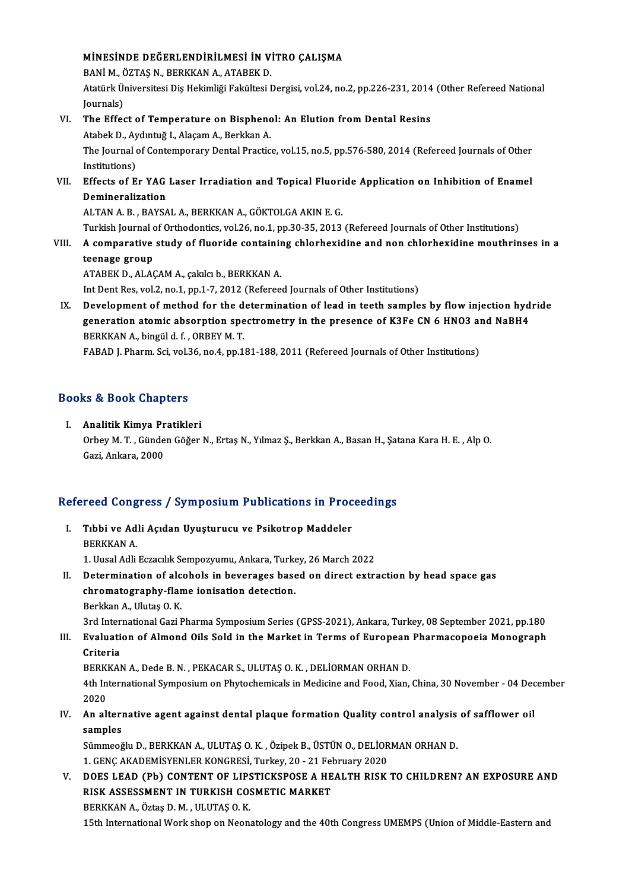# MİNESİNDE DEĞERLENDİRİLMESİ İN VİTRO ÇALIŞMA<br>RANİM ÖZTAS NURERKANA ATAPEKD

MİNESİNDE DEĞERLENDİRİLMESİ İN V<br>BANİ M., ÖZTAŞ N., BERKKAN A., ATABEK D.<br>Atatürk Üniversitesi Dis Hekimliği Fekültesi I Atatürk Üniversitesi Diş Hekimliği Fakültesi Dergisi, vol.24, no.2, pp.226-231, 2014 (Other Refereed National<br>Journals) BANİ M., ÖZTAŞ N., BERKKAN A., ATABEK D. Atatürk Üniversitesi Diş Hekimliği Fakültesi Dergisi, vol.24, no.2, pp.226-231, 2014<br>Journals)<br>VI. The Effect of Temperature on Bisphenol: An Elution from Dental Resins<br>Atabek D. Aydutuğ L. Alasam A. Berkkan A

Journals)<br>The Effect of Temperature on Bisphenc<br>Atabek D., Aydıntuğ I., Alaçam A., Berkkan A.<br>The Journal of Contemperary Dental Brastic The Effect of Temperature on Bisphenol: An Elution from Dental Resins<br>Atabek D., Aydıntuğ I., Alaçam A., Berkkan A.<br>The Journal of Contemporary Dental Practice, vol.15, no.5, pp.576-580, 2014 (Refereed Journals of Other<br>In Atabek D., Ay<br>The Journal<br>Institutions)<br>Effects of E The Journal of Contemporary Dental Practice, vol.15, no.5, pp.576-580, 2014 (Refereed Journals of Other<br>Institutions)<br>VII. Effects of Er YAG Laser Irradiation and Topical Fluoride Application on Inhibition of Enamel<br>Demine

### Institutions)<br>Effects of Er YAG<br>Demineralization<br>ALTANA B PAYSA Effects of Er YAG Laser Irradiation and Topical Fluori<br>Demineralization<br>ALTAN A. B., BAYSAL A., BERKKAN A., GÖKTOLGA AKIN E. G.<br>Turkish Journal of Orthodontics vol 26 no 1 nn 20 25, 2012 Demineralization<br>ALTAN A. B. , BAYSAL A., BERKKAN A., GÖKTOLGA AKIN E. G.<br>Turkish Journal of Orthodontics, vol.26, no.1, pp.30-35, 2013 (Refereed Journals of Other Institutions)

ALTAN A. B. , BAYSAL A., BERKKAN A., GÖKTOLGA AKIN E. G.<br>Turkish Journal of Orthodontics, vol.26, no.1, pp.30-35, 2013 (Refereed Journals of Other Institutions)<br>VIII. A comparative study of fluoride containing chlorhex Turkish Journal <mark>c</mark><br>A comparative<br>teenage group<br>ATAPEV D ALAC A comparative study of fluoride containin<br>teenage group<br>ATABEK D., ALAÇAM A., çakılcı b., BERKKAN A.<br>Int Dent Bes vol 2, no 1, nn 1, 7, 2012 (Befenee

teenage group<br>ATABEK D., ALAÇAM A., çakılcı b., BERKKAN A.<br>Int Dent Res, vol.2, no.1, pp.1-7, 2012 (Refereed Journals of Other Institutions)

IX. Development of method for the determination of lead in teeth samples by flow injection hydride Int Dent Res, vol.2, no.1, pp.1-7, 2012 (Refereed Journals of Other Institutions)<br>Development of method for the determination of lead in teeth samples by flow injection hyd<br>generation atomic absorption spectrometry in the Development of method for the d<br>generation atomic absorption spe<br>BERKKAN A., bingül d. f. , ORBEY M. T.<br>FARAD L. Pharm. Sai, val 26, no 4, nn 1. BERKKAN A., bingül d. f. , ORBEY M. T.<br>FABAD J. Pharm. Sci, vol.36, no.4, pp.181-188, 2011 (Refereed Journals of Other Institutions)

# rabab j. rnarm. scr, vol.s<br>Books & Book Chapters

ooks & Book Chapters<br>I. Analitik Kimya Pratikleri<br>Orboy M.T. Günden Göğer to & Boon emapters<br>Analitik Kimya Pratikleri<br>Orbey M. T. , Günden Göğer N., Ertaş N., Yılmaz Ş., Berkkan A., Basan H., Şatana Kara H. E. , Alp O. <mark>Analitik Kimya Pr</mark><br>Orbey M. T. , Günde<br>Gazi, Ankara, 2000

# Gazi, Ankara, 2000<br>Refereed Congress / Symposium Publications in Proceedings

- efereed Congress / Symposium Publications in Proc<br>I. Tıbbi ve Adli Açıdan Uyuşturucu ve Psikotrop Maddeler<br>REPKKANA I. Tibbi ve Adli Açıdan Uyuşturucu ve Psikotrop Maddeler<br>BERKKAN A. Tıbbi ve Adli Açıdan Uyuşturucu ve Psikotrop Maddeler<br>BERKKAN A.<br>1. Uusal Adli Eczacılık Sempozyumu, Ankara, Turkey, 26 March 2022<br>Petermination of alsohola in beyeneges based on dinest evtre
- II. Determination of alcohols in beverages based on direct extraction by head space gas chromatography-flame ionisation detection. 1. Uusal Adli Eczacılık Sempozyumu, Ankara, Turke<br>Determination of alcohols in beverages base<br>chromatography-flame ionisation detection.<br>Perkkan A. Ulutas O. K.
	- Berkkan A., Ulutaş O.K.

chromatography-flame ionisation detection.<br>Berkkan A., Ulutaş O. K.<br>3rd International Gazi Pharma Symposium Series (GPSS-2021), Ankara, Turkey, 08 September 2021, pp.180<br>Evaluation of Almond Oils Sold in the Market in Term

## Berkkan A., Ulutaş O. K.<br>3rd International Gazi Pharma Symposium Series (GPSS-2021), Ankara, Turkey, 08 September 2021, pp.180<br>III. Evaluation of Almond Oils Sold in the Market in Terms of European Pharmacopoeia Monogr 3rd Inter<br><mark>Evaluati</mark><br>Criteria<br>PERKKAN Evaluation of Almond Oils Sold in the Market in Terms of European<br>Criteria<br>BERKKAN A., Dede B.N. , PEKACAR S., ULUTAŞ O.K. , DELİORMAN ORHAN D.<br>4th International Sumnesium en Phytoshemisels in Medisine and Eeed. Yien

Criteria<br>BERKKAN A., Dede B. N. , PEKACAR S., ULUTAŞ O. K. , DELİORMAN ORHAN D.<br>4th International Symposium on Phytochemicals in Medicine and Food, Xian, China, 30 November - 04 December<br>2020 BERKKAN A., Dede B. N. , PEKACAR S., ULUTAŞ O. K. , DELİORMAN ORHAN D.<br>4th International Symposium on Phytochemicals in Medicine and Food, Xian,<br>2020 IV. An alternational Symposium on Phytochemicals in Medicine and Food, Xian, China, 30 November - 04 Dec<br>2020<br>IV. An alternative agent against dental plaque formation Quality control analysis of safflower oil<br>2011

### IV. An alternative agent against dental plaque formation Quality control analysis of safflower oil<br>samples An alternative agent against dental plaque formation Quality control analysis<br>samples<br>Sümmeoğlu D., BERKKAN A., ULUTAŞ O. K. , Özipek B., ÜSTÜN O., DELİORMAN ORHAN D.<br>1. CENC AKADEMİSYENI ER KONCRESİ Turkey 20, 21 February

samples<br>Sümmeoğlu D., BERKKAN A., ULUTAŞ O. K. , Özipek B., ÜSTÜN O., DELİOR<br>1. GENÇ AKADEMİSYENLER KONGRESİ, Turkey, 20 - 21 February 2020<br>DOES LEAD (Pb) CONTENT OE LIBSTICKSPOSE A HEALTH BISK Sümmeoğlu D., BERKKAN A., ULUTAŞ O. K. , Özipek B., ÜSTÜN O., DELİORMAN ORHAN D.<br>1. GENÇ AKADEMİSYENLER KONGRESİ, Turkey, 20 - 21 February 2020<br>1. DOES LEAD (Pb) CONTENT OF LIPSTICKSPOSE A HEALTH RISK TO CHILDREN? AN EXPOS

1. GENÇ AKADEMİSYENLER KONGRESİ, Turkey, 20 - 21 Fel<br>DOES LEAD (Pb) CONTENT OF LIPSTICKSPOSE A HE<br>RISK ASSESSMENT IN TURKISH COSMETIC MARKET<br>BERKKAN A ÖTTER D.M. HUTAS O.K. DOES LEAD (Pb) CONTENT OF LIPS<br>RISK ASSESSMENT IN TURKISH CO:<br>BERKKAN A., Öztaş D. M. , ULUTAŞ O. K.<br>15th International Werk shop op Neon. RISK ASSESSMENT IN TURKISH COSMETIC MARKET<br>BERKKAN A., Öztaş D. M. , ULUTAŞ O. K.<br>15th International Work shop on Neonatology and the 40th Congress UMEMPS (Union of Middle-Eastern and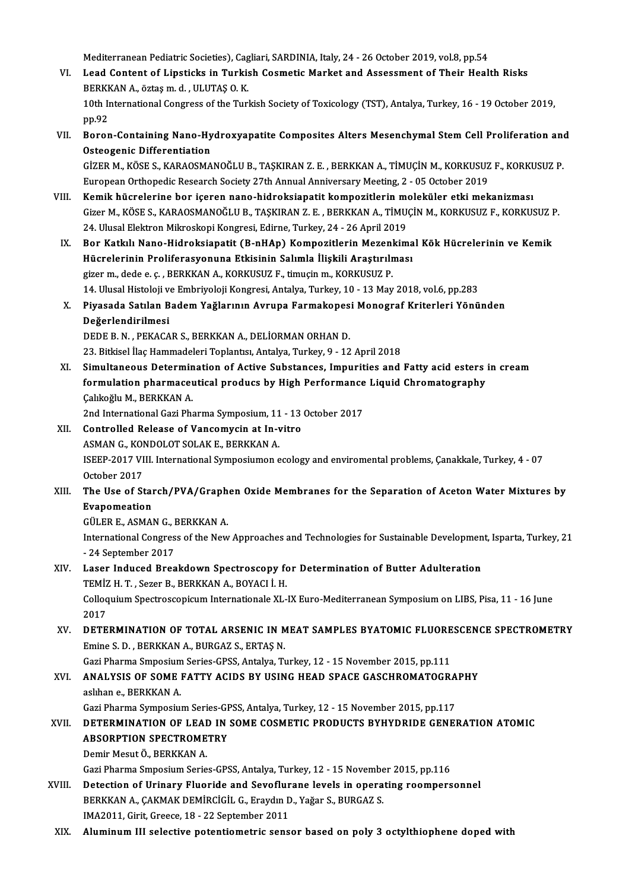Mediterranean Pediatric Societies), Cagliari, SARDINIA, Italy, 24 - 26 October 2019, vol.8, pp.54<br>Leed Centent of Linetiake in Turkish Cesmetia Merket and Assessment of Their Healt

- VI. Lead Content of Lipsticks in Turkish Cosmetic Market and Assessment of Their Health Risks<br>BERKKAN A., öztas m. d. , ULUTAS O. K. Mediterranean Pediatric Societies), Cag<br>Lead Content of Lipsticks in Turkis<br>BERKKAN A., öztaş m. d. , ULUTAŞ O. K.<br>10th International Congress of the Turk Lead Content of Lipsticks in Turkish Cosmetic Market and Assessment of Their Health Risks<br>BERKKAN A., öztaş m. d. , ULUTAŞ O. K.<br>10th International Congress of the Turkish Society of Toxicology (TST), Antalya, Turkey, 16 -BERKH<br>10th II<br>pp.92<br>Perer 10th International Congress of the Turkish Society of Toxicology (TST), Antalya, Turkey, 16 - 19 October 2019,<br>pp.92<br>VII. Boron-Containing Nano-Hydroxyapatite Composites Alters Mesenchymal Stem Cell Proliferation and<br>Ostag
- pp.92<br>Boron-Containing Nano-Hy<br>Osteogenic Differentiation<br>CizEP M, *V*ösE S, *VA*PAOSMA Boron-Containing Nano-Hydroxyapatite Composites Alters Mesenchymal Stem Cell Proliferation and<br>Osteogenic Differentiation<br>GİZER M., KÖSE S., KARAOSMANOĞLU B., TAŞKIRAN Z. E. , BERKKAN A., TİMUÇİN M., KORKUSUZ F., KORKUSUZ

Osteogenic Differentiation<br>GİZER M., KÖSE S., KARAOSMANOĞLU B., TAŞKIRAN Z. E. , BERKKAN A., TİMUÇİN M., KORKUSUZ F., KORKUSUZ P.<br>European Orthopedic Research Society 27th Annual Anniversary Meeting, 2 - 05 October 2019 GİZER M., KÖSE S., KARAOSMANOĞLU B., TAŞKIRAN Z. E. , BERKKAN A., TİMUÇİN M., KORKUSUZ F., KORKU<br>European Orthopedic Research Society 27th Annual Anniversary Meeting, 2 - 05 October 2019<br>VIII. Kemik hücrelerine bor içeren

- Gizer M., KÖSE S., KARAOSMANOĞLU B., TAŞKIRAN Z. E. , BERKKAN A., TİMUÇİN M., KORKUSUZ F., KORKUSUZ P.<br>24. Ulusal Elektron Mikroskopi Kongresi, Edirne, Turkey, 24 26 April 2019 Kemik hücrelerine bor içeren nano-hidroksiapatit kompozitlerin merdizer M., KÖSE S., KARAOSMANOĞLU B., TAŞKIRAN Z. E. , BERKKAN A., TİMU<br>24. Ulusal Elektron Mikroskopi Kongresi, Edirne, Turkey, 24 - 26 April 2019<br>Por Katkı
- IX. Bor Katkılı Nano-Hidroksiapatit (B-nHAp) Kompozitlerin Mezenkimal Kök Hücrelerinin ve Kemik 24. Ulusal Elektron Mikroskopi Kongresi, Edirne, Turkey, 24 - 26 April 2019<br>Bor Katkılı Nano-Hidroksiapatit (B-nHAp) Kompozitlerin Mezenkima<br>Hücrelerinin Proliferasyonuna Etkisinin Salımla İlişkili Araştırılması<br>Tirer m. d Bor Katkılı Nano-Hidroksiapatit (B-nHAp) Kompozitlerin Mezenl<br>Hücrelerinin Proliferasyonuna Etkisinin Salımla İlişkili Araştırılı<br>gizer m., dede e. ç. , BERKKAN A., KORKUSUZ F., timuçin m., KORKUSUZ P.<br>14 Hlucel Histoloji gizer m., dede e. ç. , BERKKAN A., KORKUSUZ F., timuçin m., KORKUSUZ P.<br>14. Ulusal Histoloji ve Embriyoloji Kongresi, Antalya, Turkey, 10 - 13 May 2018, vol.6, pp.283 gizer m., dede e. ç. , BERKKAN A., KORKUSUZ F., timuçin m., KORKUSUZ P.<br>14. Ulusal Histoloji ve Embriyoloji Kongresi, Antalya, Turkey, 10 - 13 May 2018, vol.6, pp.283<br>X. Piyasada Satılan Badem Yağlarının Avrupa Farmako
- 14. Ulusal Histoloji v<br>Piyasada Satılan B<br>Değerlendirilmesi<br>DEDE B. N. BEKACA Piyasada Satılan Badem Yağlarının Avrupa Farmakopes<br>Değerlendirilmesi<br>DEDE B.N., PEKACAR S., BERKKAN A., DELİORMAN ORHAN D.<br>22. Bitkisel İles Hammadeleri Teplentru Antalya Turkey 0, 12 Değerlendirilmesi<br>DEDE B. N. , PEKACAR S., BERKKAN A., DELİORMAN ORHAN D.<br>23. Bitkisel İlaç Hammadeleri Toplantısı, Antalya, Turkey, 9 - 12 April 2018 DEDE B. N. , PEKACAR S., BERKKAN A., DELİORMAN ORHAN D.<br>23. Bitkisel İlaç Hammadeleri Toplantısı, Antalya, Turkey, 9 - 12 April 2018<br>XI. Simultaneous Determination of Active Substances, Impurities and Fatty acid esters in
- 23. Bitkisel İlaç Hammadeleri Toplantısı, Antalya, Turkey, 9 12 April 2018<br>Simultaneous Determination of Active Substances, Impurities and Fatty acid esters<br>formulation pharmaceutical producs by High Performance Liquid C Simultaneous Determin<br>formulation pharmaceu<br>Çalıkoğlu M., BERKKAN A.<br>2nd International Ceri Pha formulation pharmaceutical producs by High Performance<br>Calıkoğlu M., BERKKAN A.<br>2nd International Gazi Pharma Symposium, 11 - 13 October 2017<br>Controlled Belease of Vancomusin at In uitre

- Calikoğlu M., BERKKAN A.<br>2nd International Gazi Pharma Symposium, 11 13<br>XII. Controlled Release of Vancomycin at In-vitro 2nd International Gazi Pharma Symposium, 11<br>Controlled Release of Vancomycin at In-V<br>ASMAN G., KONDOLOT SOLAK E., BERKKAN A. XII. Controlled Release of Vancomycin at In-vitro<br>ASMAN G., KONDOLOT SOLAK E., BERKKAN A.<br>ISEEP-2017 VIII. International Symposiumon ecology and enviromental problems, Çanakkale, Turkey, 4 - 07<br>October 2017 ASMAN G., KONDOLOT SOLAK E., BERKKAN A. ISEEP-2017 VIII. International Symposiumon ecology and enviromental problems, Çanakkale, Turkey, 4 - 07<br>October 2017<br>XIII. The Use of Starch/PVA/Graphen Oxide Membranes for the Separation of Aceton Water Mixtures by
- October 2017<br>The Use of Star<br>Evapomeation<br>CÜLERE ASMAL The Use of Starch/PVA/Graph<br>Evapomeation<br>GÜLER E., ASMAN G., BERKKAN A.<br>International Congress of the New

Evapomeation<br>GÜLER E., ASMAN G., BERKKAN A.<br>International Congress of the New Approaches and Technologies for Sustainable Development, Isparta, Turkey, 21<br>\_24 Soptember 2017 GÜLER E., ASMAN G., I<br>International Congres<br>- 24 September 2017<br>Lesen Indused Brea International Congress of the New Approaches and Technologies for Sustainable Developmen<br>- 24 September 2017<br>XIV. Laser Induced Breakdown Spectroscopy for Determination of Butter Adulteration<br>TEMIZ U.T. SCERE BERKKAN A BOY

- 24 September 2017<br>Laser Induced Breakdown Spectroscopy fo<br>TEMİZ H. T. , Sezer B., BERKKAN A., BOYACI İ. H.<br>Cellegyiyy Spectroscopisyy Internationale YI XIV. Laser Induced Breakdown Spectroscopy for Determination of Butter Adulteration<br>TEMİZ H. T. , Sezer B., BERKKAN A., BOYACI İ. H.<br>Colloquium Spectroscopicum Internationale XL-IX Euro-Mediterranean Symposium on LIBS, Pisa TEMIZ<br>Colloq<br>2017<br>DETE
- Colloquium Spectroscopicum Internationale XL-IX Euro-Mediterranean Symposium on LIBS, Pisa, 11 16 June<br>2017<br>XV. DETERMINATION OF TOTAL ARSENIC IN MEAT SAMPLES BYATOMIC FLUORESCENCE SPECTROMETRY<br>Emine S.D., BERKKAN A. BUR 2017<br>DETERMINATION OF TOTAL ARSENIC IN M<br>Emine S. D. , BERKKAN A., BURGAZ S., ERTAŞ N.<br>Cari Pharma Smnasium Saries CBSS, Antalya T. DETERMINATION OF TOTAL ARSENIC IN MEAT SAMPLES BYATOMIC FLUORE<br>Emine S. D. , BERKKAN A., BURGAZ S., ERTAŞ N.<br>Gazi Pharma Smposium Series-GPSS, Antalya, Turkey, 12 - 15 November 2015, pp.111<br>ANALYSIS OF SOME FATTY ACIDS BY

## Emine S. D. , BERKKAN A., BURGAZ S., ERTAŞ N.<br>Gazi Pharma Smposium Series-GPSS, Antalya, Turkey, 12 - 15 November 2015, pp.111<br>XVI. ANALYSIS OF SOME FATTY ACIDS BY USING HEAD SPACE GASCHROMATOGRAPHY Gazi Pharma Smposium<br>ANALYSIS OF SOME<br>aslıhan e., BERKKAN A.<br>Cazi Pharma Sumposium ANALYSIS OF SOME FATTY ACIDS BY USING HEAD SPACE GASCHROMATOGRA<br>aslihan e., BERKKAN A.<br>Gazi Pharma Symposium Series-GPSS, Antalya, Turkey, 12 - 15 November 2015, pp.117<br>DETERMINATION OF LEAD IN SOME COSMETIC PRODUCTS PYUVD

### aslıhan e., BERKKAN A.<br>Gazi Pharma Symposium Series-GPSS, Antalya, Turkey, 12 - 15 November 2015, pp.117<br>XVII. DETERMINATION OF LEAD IN SOME COSMETIC PRODUCTS BYHYDRIDE GENERATION ATOMIC<br>ARSORRTION SRECTROMETRY Gazi Pharma Symposium Series-GPSS, Antalya, Turkey, 12 - 15 November 2015, pp.117<br>DETERMINATION OF LEAD IN SOME COSMETIC PRODUCTS BYHYDRIDE GENE<br>ABSORPTION SPECTROMETRY<br>Demir Mesut Ö., BERKKAN A. DETERMINATION OF LEAI<br>ABSORPTION SPECTROME<br>Demir Mesut Ö., BERKKAN A.<br>Cari Pharma Smnagium Saria ABSORPTION SPECTROMETRY<br>Demir Mesut Ö., BERKKAN A.<br>Gazi Pharma Smposium Series-GPSS, Antalya, Turkey, 12 - 15 November 2015, pp.116<br>Detection of Unineuy Elvenide and Seveflurene levels in energting reemners

- Demir Mesut Ö., BERKKAN A.<br>Gazi Pharma Smposium Series-GPSS, Antalya, Turkey, 12 15 November 2015, pp.116<br>XVIII. Detection of Urinary Fluoride and Sevoflurane levels in operating roompersonnel<br>RERKKAN A. CAKMAK DEMIRCICU Gazi Pharma Smposium Series-GPSS, Antalya, Turkey, 12 - 15 Novembe<br>Detection of Urinary Fluoride and Sevoflurane levels in opera<br>BERKKAN A., ÇAKMAK DEMİRCİGİL G., Eraydın D., Yağar S., BURGAZ S.<br>IMA2011, Cirit, Creese 18 -Detection of Urinary Fluoride and Sevoflur<br>BERKKAN A., ÇAKMAK DEMİRCİGİL G., Eraydın D<br>IMA2011, Girit, Greece, 18 - 22 September 2011<br>Aluminum III selestive potentiometris sens BERKKAN A., ÇAKMAK DEMİRCİGİL G., Eraydın D., Yağar S., BURGAZ S.<br>IMA2011, Girit, Greece, 18 - 22 September 2011<br>XIX. Aluminum III selective potentiometric sensor based on poly 3 octylthiophene doped with
-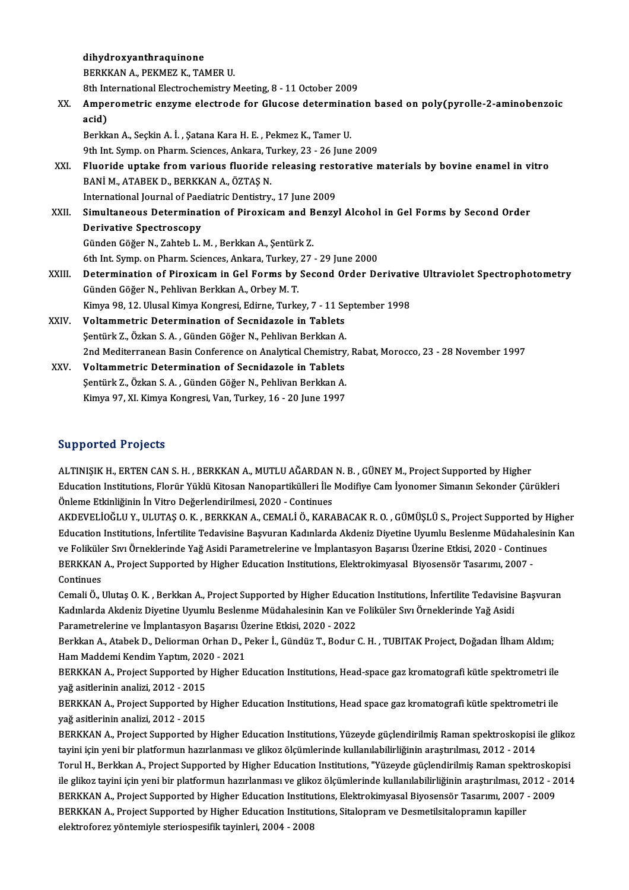|        | dihydroxyanthraquinone                                                                            |
|--------|---------------------------------------------------------------------------------------------------|
|        | BERKKAN A., PEKMEZ K., TAMER U.                                                                   |
|        | 8th International Electrochemistry Meeting, 8 - 11 October 2009                                   |
| XX.    | Amperometric enzyme electrode for Glucose determination based on poly(pyrolle-2-aminobenzoic      |
|        | acid)                                                                                             |
|        | Berkkan A., Seçkin A. İ., Şatana Kara H. E., Pekmez K., Tamer U.                                  |
|        | 9th Int. Symp. on Pharm. Sciences, Ankara, Turkey, 23 - 26 June 2009                              |
| XXI.   | Fluoride uptake from various fluoride releasing restorative materials by bovine enamel in vitro   |
|        | BANİ M., ATABEK D., BERKKAN A., ÖZTAŞ N.                                                          |
|        | International Journal of Paediatric Dentistry, 17 June 2009                                       |
| XXII.  | Simultaneous Determination of Piroxicam and Benzyl Alcohol in Gel Forms by Second Order           |
|        | <b>Derivative Spectroscopy</b>                                                                    |
|        | Günden Göğer N., Zahteb L. M., Berkkan A., Şentürk Z.                                             |
|        | 6th Int. Symp. on Pharm. Sciences, Ankara, Turkey, 27 - 29 June 2000                              |
| XXIII. | Determination of Piroxicam in Gel Forms by Second Order Derivative Ultraviolet Spectrophotometry  |
|        | Günden Göğer N., Pehlivan Berkkan A., Orbey M. T.                                                 |
|        | Kimya 98, 12. Ulusal Kimya Kongresi, Edirne, Turkey, 7 - 11 September 1998                        |
| XXIV.  | Voltammetric Determination of Secnidazole in Tablets                                              |
|        | Şentürk Z., Özkan S. A., Günden Göğer N., Pehlivan Berkkan A.                                     |
|        | 2nd Mediterranean Basin Conference on Analytical Chemistry, Rabat, Morocco, 23 - 28 November 1997 |
| XXV.   | Voltammetric Determination of Secnidazole in Tablets                                              |
|        | Şentürk Z., Özkan S. A., Günden Göğer N., Pehlivan Berkkan A.                                     |
|        | Kimya 97, XI. Kimya Kongresi, Van, Turkey, 16 - 20 June 1997                                      |

#### Supported Projects

ALTINIŞIKH.,ERTENCANS.H. ,BERKKANA.,MUTLUAĞARDANN.B. ,GÜNEYM.,ProjectSupported byHigher Education Institutions, Florür Yüklü Kitosan Nanopartikülleri İle Modifiye Cam İyonomer Simanın Sekonder Çürükleri Önleme Etkinliğinin İn Vitro Değerlendirilmesi, 2020 - Continues Education Institutions, Florür Yüklü Kitosan Nanopartikülleri İle Modifiye Cam İyonomer Simanın Sekonder Çürükleri<br>Önleme Etkinliğinin İn Vitro Değerlendirilmesi, 2020 - Continues<br>AKDEVELİÖĞLU Y., ULUTAŞ O. K. , BERKKAN A.

Önleme Etkinliğinin İn Vitro Değerlendirilmesi, 2020 - Continues<br>AKDEVELİOĞLU Y., ULUTAŞ O. K. , BERKKAN A., CEMALİ Ö., KARABACAK R. O. , GÜMÜŞLÜ S., Project Supported by Higher<br>Education Institutions, İnfertilite Tedavisi AKDEVELİOĞLU Y., ULUTAŞ O. K. , BERKKAN A., CEMALİ Ö., KARABACAK R. O. , GÜMÜŞLÜ S., Project Supported by F.<br>Education Institutions, İnfertilite Tedavisine Başvuran Kadınlarda Akdeniz Diyetine Uyumlu Beslenme Müdahalesin<br>v Education Institutions, İnfertilite Tedavisine Başvuran Kadınlarda Akdeniz Diyetine Uyumlu Beslenme Müdahalesinin Kan<br>ve Foliküler Sıvı Örneklerinde Yağ Asidi Parametrelerine ve İmplantasyon Başarısı Üzerine Etkisi, 2020 ve Foliküler Sıvı Örneklerinde Yağ Asidi Parametrelerine ve İmplantasyon Başarısı Üzerine Etkisi, 2020 - Continues BERKKAN A., Project Supported by Higher Education Institutions, Elektrokimyasal Biyosensör Tasarımı, 2007 -<br>Continues<br>Cemali Ö., Ulutaş O. K. , Berkkan A., Project Supported by Higher Education Institutions, İnfertilite Te

Continues<br>Cemali Ö., Ulutaş O. K. , Berkkan A., Project Supported by Higher Education Institutions, İnfertilite Tedavisine<br>Kadınlarda Akdeniz Diyetine Uyumlu Beslenme Müdahalesinin Kan ve Foliküler Sıvı Örneklerinde Yağ As Cemali Ö., Ulutaş O. K. , Berkkan A., Project Supported by Higher Educa<br>Kadınlarda Akdeniz Diyetine Uyumlu Beslenme Müdahalesinin Kan ve<br>Parametrelerine ve İmplantasyon Başarısı Üzerine Etkisi, 2020 - 2022<br>Berkkan A. Atabe Kadınlarda Akdeniz Diyetine Uyumlu Beslenme Müdahalesinin Kan ve Foliküler Sıvı Örneklerinde Yağ Asidi<br>Parametrelerine ve İmplantasyon Başarısı Üzerine Etkisi, 2020 - 2022<br>Berkkan A., Atabek D., Deliorman Orhan D., Peker İ

Parametrelerine ve İmplantasyon Başarısı Ü:<br>Berkkan A., Atabek D., Deliorman Orhan D., F<br>Ham Maddemi Kendim Yaptım, 2020 - 2021<br>PERKKAN A. Project Supported by Hisbor E Berkkan A., Atabek D., Deliorman Orhan D., Peker İ., Gündüz T., Bodur C. H. , TUBITAK Project, Doğadan İlham Aldım;<br>Ham Maddemi Kendim Yaptım, 2020 - 2021<br>BERKKAN A., Project Supported by Higher Education Institutions, Hea

Ham Maddemi Kendim Yaptım, 202<br>BERKKAN A., Project Supported by<br>yağ asitlerinin analizi, 2012 - 2015<br>PERKKAN A. Project Supported by BERKKAN A., Project Supported by Higher Education Institutions, Head-space gaz kromatografi kütle spektrometri ile<br>yağ asitlerinin analizi, 2012 - 2015<br>BERKKAN A., Project Supported by Higher Education Institutions, Head s

yağ asitlerinin analizi, 2012 - 2015<br>BERKKAN A., Project Supported by Higher Education Institutions, Head space gaz kromatografi kütle spektrometri ile<br>yağ asitlerinin analizi, 2012 - 2015 BERKKAN A., Project Supported by Higher Education Institutions, Head space gaz kromatografi kütle spektrometri ile<br>yağ asitlerinin analizi, 2012 - 2015<br>BERKKAN A., Project Supported by Higher Education Institutions, Yüzeyd

yağ asitlerinin analizi, 2012 - 2015<br>BERKKAN A., Project Supported by Higher Education Institutions, Yüzeyde güçlendirilmiş Raman spektroskopisi i<br>tayini için yeni bir platformun hazırlanması ve glikoz ölçümlerinde kullanı BERKKAN A., Project Supported by Higher Education Institutions, Yüzeyde güçlendirilmiş Raman spektroskopisi ile gliko:<br>tayini için yeni bir platformun hazırlanması ve glikoz ölçümlerinde kullanılabilirliğinin araştırılması tayini için yeni bir platformun hazırlanması ve glikoz ölçümlerinde kullanılabilirliğinin araştırılması, 2012 - 2014<br>Torul H., Berkkan A., Project Supported by Higher Education Institutions, "Yüzeyde güçlendirilmiş Raman s Torul H., Berkkan A., Project Supported by Higher Education Institutions, "Yüzeyde güçlendirilmiş Raman spektroskop<br>ile glikoz tayini için yeni bir platformun hazırlanması ve glikoz ölçümlerinde kullanılabilirliğinin araşt ile glikoz tayini için yeni bir platformun hazırlanması ve glikoz ölçümlerinde kullanılabilirliğinin araştırılması, 2<br>BERKKAN A., Project Supported by Higher Education Institutions, Elektrokimyasal Biyosensör Tasarımı, 200 BERKKAN A., Project Supported by Higher Education Institutions, Elektrokimyasal Biyosensör Tasarımı, 2007 - 2009<br>BERKKAN A., Project Supported by Higher Education Institutions, Sitalopram ve Desmetilsitalopramın kapiller<br>e